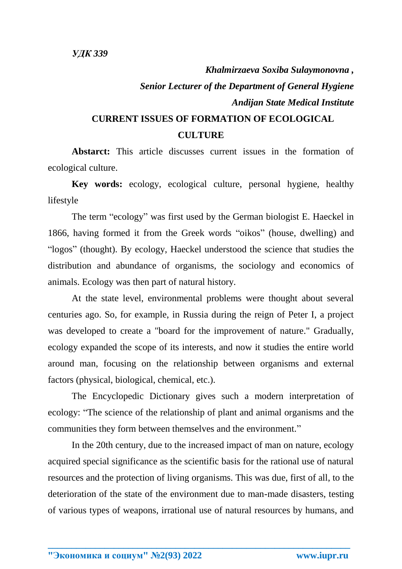## *Khalmirzaeva Soxiba Sulaymonovna , Senior Lecturer of the Department of General Hygiene Andijan State Medical Institute* **CURRENT ISSUES OF FORMATION OF ECOLOGICAL**

## **CULTURE**

**Abstarct:** This article discusses current issues in the formation of ecological culture.

**Key words:** ecology, ecological culture, personal hygiene, healthy lifestyle

The term "ecology" was first used by the German biologist E. Haeckel in 1866, having formed it from the Greek words "oikos" (house, dwelling) and "logos" (thought). By ecology, Haeckel understood the science that studies the distribution and abundance of organisms, the sociology and economics of animals. Ecology was then part of natural history.

At the state level, environmental problems were thought about several centuries ago. So, for example, in Russia during the reign of Peter I, a project was developed to create a "board for the improvement of nature." Gradually, ecology expanded the scope of its interests, and now it studies the entire world around man, focusing on the relationship between organisms and external factors (physical, biological, chemical, etc.).

The Encyclopedic Dictionary gives such a modern interpretation of ecology: "The science of the relationship of plant and animal organisms and the communities they form between themselves and the environment."

In the 20th century, due to the increased impact of man on nature, ecology acquired special significance as the scientific basis for the rational use of natural resources and the protection of living organisms. This was due, first of all, to the deterioration of the state of the environment due to man-made disasters, testing of various types of weapons, irrational use of natural resources by humans, and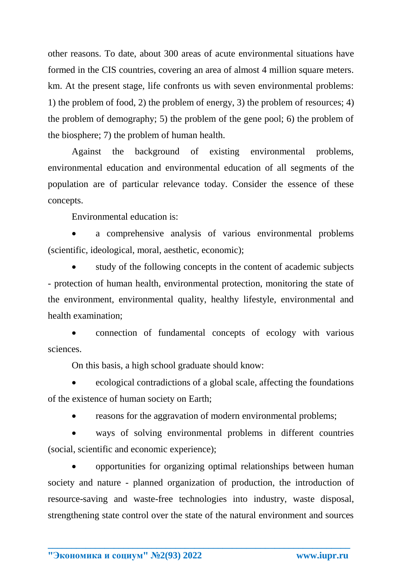other reasons. To date, about 300 areas of acute environmental situations have formed in the CIS countries, covering an area of almost 4 million square meters. km. At the present stage, life confronts us with seven environmental problems: 1) the problem of food, 2) the problem of energy, 3) the problem of resources; 4) the problem of demography; 5) the problem of the gene pool; 6) the problem of the biosphere; 7) the problem of human health.

Against the background of existing environmental problems, environmental education and environmental education of all segments of the population are of particular relevance today. Consider the essence of these concepts.

Environmental education is:

 a comprehensive analysis of various environmental problems (scientific, ideological, moral, aesthetic, economic);

 study of the following concepts in the content of academic subjects - protection of human health, environmental protection, monitoring the state of the environment, environmental quality, healthy lifestyle, environmental and health examination;

 connection of fundamental concepts of ecology with various sciences.

On this basis, a high school graduate should know:

 ecological contradictions of a global scale, affecting the foundations of the existence of human society on Earth;

reasons for the aggravation of modern environmental problems;

 ways of solving environmental problems in different countries (social, scientific and economic experience);

 opportunities for organizing optimal relationships between human society and nature - planned organization of production, the introduction of resource-saving and waste-free technologies into industry, waste disposal, strengthening state control over the state of the natural environment and sources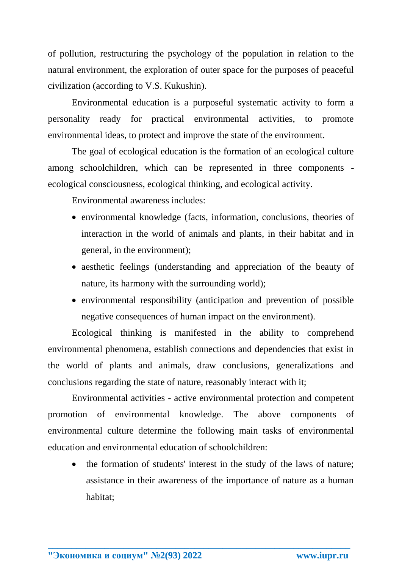of pollution, restructuring the psychology of the population in relation to the natural environment, the exploration of outer space for the purposes of peaceful civilization (according to V.S. Kukushin).

Environmental education is a purposeful systematic activity to form a personality ready for practical environmental activities, to promote environmental ideas, to protect and improve the state of the environment.

The goal of ecological education is the formation of an ecological culture among schoolchildren, which can be represented in three components ecological consciousness, ecological thinking, and ecological activity.

Environmental awareness includes:

- environmental knowledge (facts, information, conclusions, theories of interaction in the world of animals and plants, in their habitat and in general, in the environment);
- aesthetic feelings (understanding and appreciation of the beauty of nature, its harmony with the surrounding world);
- environmental responsibility (anticipation and prevention of possible negative consequences of human impact on the environment).

Ecological thinking is manifested in the ability to comprehend environmental phenomena, establish connections and dependencies that exist in the world of plants and animals, draw conclusions, generalizations and conclusions regarding the state of nature, reasonably interact with it;

Environmental activities - active environmental protection and competent promotion of environmental knowledge. The above components of environmental culture determine the following main tasks of environmental education and environmental education of schoolchildren:

**\_\_\_\_\_\_\_\_\_\_\_\_\_\_\_\_\_\_\_\_\_\_\_\_\_\_\_\_\_\_\_\_\_\_\_\_\_\_\_\_\_\_\_\_\_\_\_\_\_\_\_\_\_\_\_\_\_\_\_\_\_\_\_\_**

• the formation of students' interest in the study of the laws of nature; assistance in their awareness of the importance of nature as a human habitat;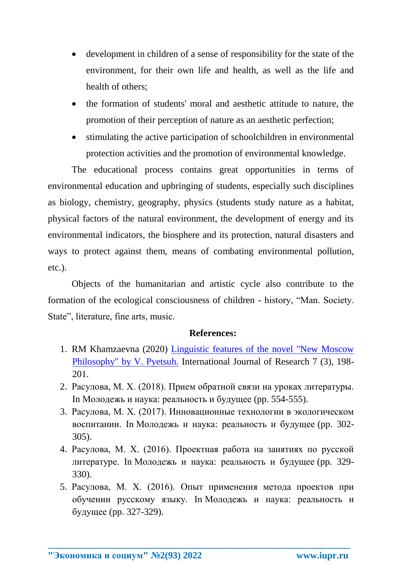- development in children of a sense of responsibility for the state of the environment, for their own life and health, as well as the life and health of others;
- the formation of students' moral and aesthetic attitude to nature, the promotion of their perception of nature as an aesthetic perfection;
- stimulating the active participation of schoolchildren in environmental protection activities and the promotion of environmental knowledge.

The educational process contains great opportunities in terms of environmental education and upbringing of students, especially such disciplines as biology, chemistry, geography, physics (students study nature as a habitat, physical factors of the natural environment, the development of energy and its environmental indicators, the biosphere and its protection, natural disasters and ways to protect against them, means of combating environmental pollution, etc.).

Objects of the humanitarian and artistic cycle also contribute to the formation of the ecological consciousness of children - history, "Man. Society. State", literature, fine arts, music.

## **References:**

- 1. RM Khamzaevna (2020) [Linguistic features of the novel "New Moscow](https://scholar.google.com/citations?view_op=view_citation&hl=ru&user=NUcDavgAAAAJ&authuser=2&citation_for_view=NUcDavgAAAAJ:Tyk-4Ss8FVUC)  [Philosophy" by V. Pyetsuh.](https://scholar.google.com/citations?view_op=view_citation&hl=ru&user=NUcDavgAAAAJ&authuser=2&citation_for_view=NUcDavgAAAAJ:Tyk-4Ss8FVUC) International Journal of Research 7 (3), 198- 201.
- 2. Расулова, М. Х. (2018). Прием обратной связи на уроках литературы. In Молодежь и наука: реальность и будущее (pp. 554-555).
- 3. Расулова, М. Х. (2017). Инновационные технологии в экологическом воспитании. In Молодежь и наука: реальность и будущее (pp. 302- 305).
- 4. Расулова, М. Х. (2016). Проектная работа на занятиях по русской литературе. In Молодежь и наука: реальность и будущее (pp. 329- 330).
- 5. Расулова, М. Х. (2016). Опыт применения метода проектов при обучении русскому языку. In Молодежь и наука: реальность и будущее (pp. 327-329).